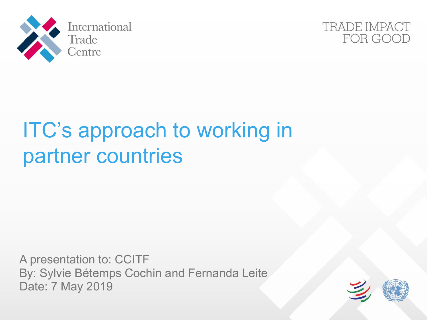



# ITC's approach to working in partner countries

A presentation to: CCITF By: Sylvie Bétemps Cochin and Fernanda Leite Date: 7 May 2019

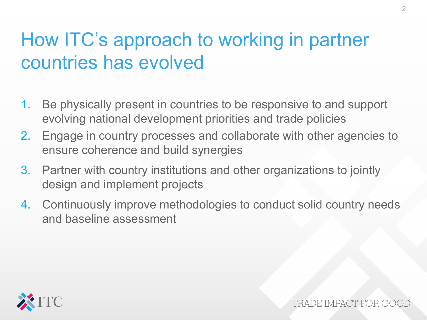# How ITC's approach to working in partner countries has evolved

- 1. Be physically present in countries to be responsive to and support evolving national development priorities and trade policies
- 2. Engage in country processes and collaborate with other agencies to ensure coherence and build synergies
- 3. Partner with country institutions and other organizations to jointly design and implement projects
- 4. Continuously improve methodologies to conduct solid country needs and baseline assessment

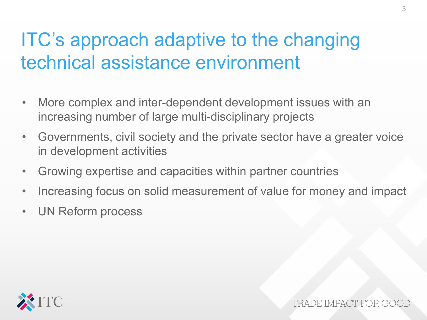# ITC's approach adaptive to the changing technical assistance environment

- More complex and inter-dependent development issues with an increasing number of large multi-disciplinary projects
- Governments, civil society and the private sector have a greater voice in development activities
- Growing expertise and capacities within partner countries
- Increasing focus on solid measurement of value for money and impact
- UN Reform process

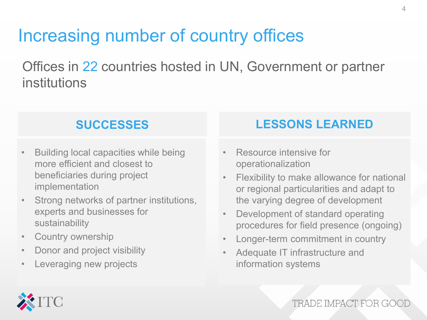#### Increasing number of country offices

Offices in 22 countries hosted in UN, Government or partner institutions

#### **SUCCESSES**

- Building local capacities while being more efficient and closest to beneficiaries during project implementation
- Strong networks of partner institutions, experts and businesses for sustainability
- Country ownership
- Donor and project visibility
- Leveraging new projects

#### **LESSONS LEARNED**

- **Resource intensive for** operationalization
- the varying degree of development • Flexibility to make allowance for national or regional particularities and adapt to
- Development of standard operating procedures for field presence (ongoing)
- Longer-term commitment in country
- Adequate IT infrastructure and information systems



TRADE IMPACT FOR GOO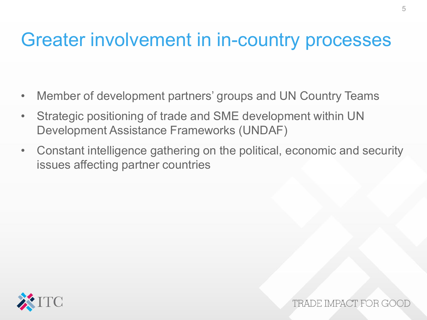#### Greater involvement in in-country processes

- Member of development partners' groups and UN Country Teams
- Strategic positioning of trade and SME development within UN Development Assistance Frameworks (UNDAF)
- Constant intelligence gathering on the political, economic and security issues affecting partner countries



TRADE IMPACT FOR G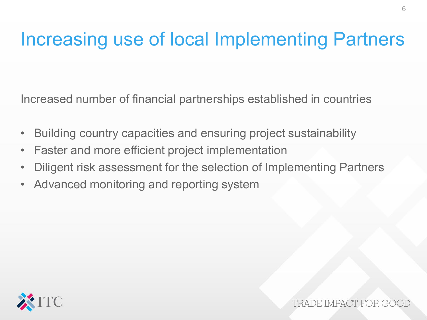### Increasing use of local Implementing Partners

Increased number of financial partnerships established in countries

- Building country capacities and ensuring project sustainability
- Faster and more efficient project implementation
- Diligent risk assessment for the selection of Implementing Partners
- Advanced monitoring and reporting system

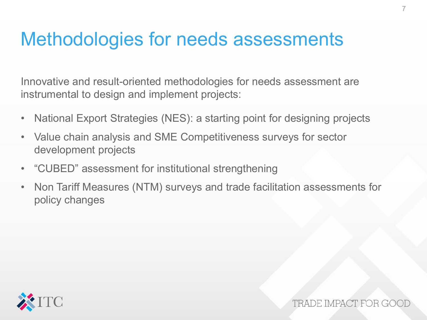### Methodologies for needs assessments

Innovative and result-oriented methodologies for needs assessment are instrumental to design and implement projects:

- National Export Strategies (NES): a starting point for designing projects
- Value chain analysis and SME Competitiveness surveys for sector development projects
- "CUBED" assessment for institutional strengthening
- Non Tariff Measures (NTM) surveys and trade facilitation assessments for policy changes



TRADE IMPACT FOR GO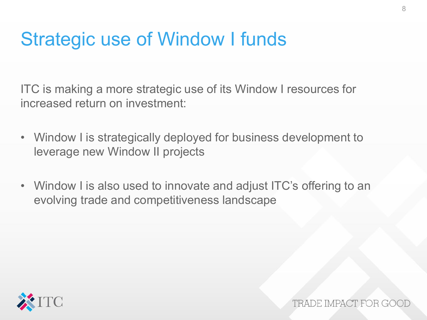## Strategic use of Window I funds

ITC is making a more strategic use of its Window I resources for increased return on investment:

- Window I is strategically deployed for business development to leverage new Window II projects
- Window I is also used to innovate and adjust ITC's offering to an evolving trade and competitiveness landscape



TRADE IMPACT FOR GO